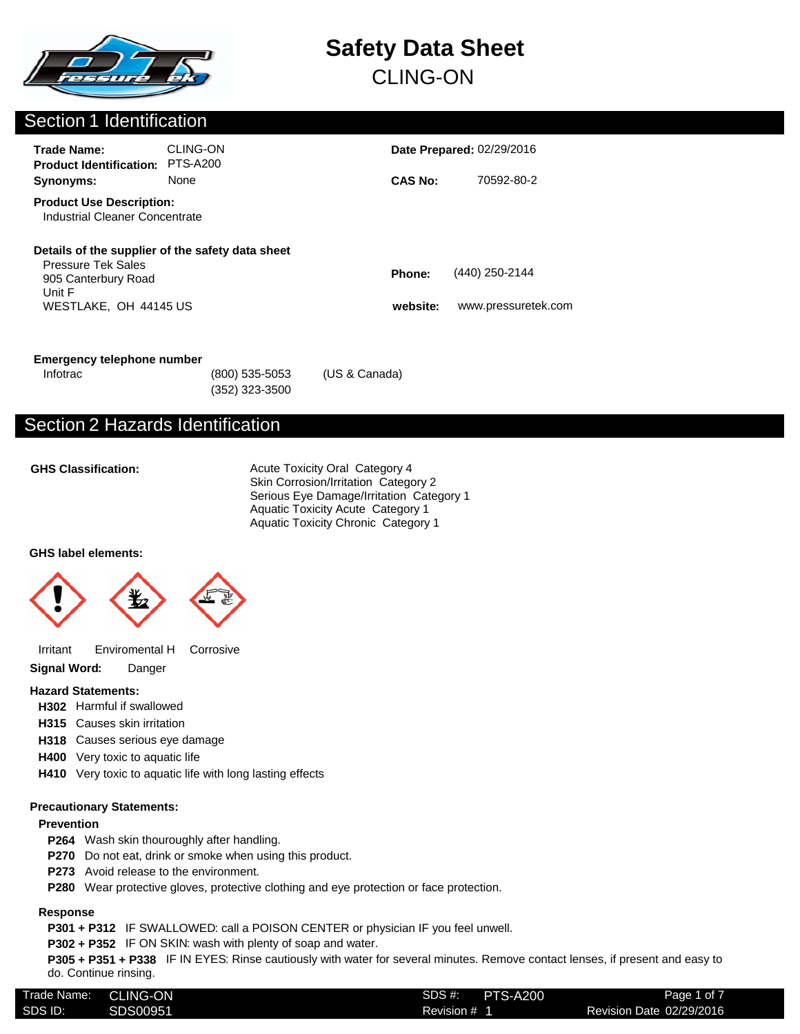

### Section 1 Identification

| <b>Trade Name:</b><br><b>Product Identification:</b>                                | CLING-ON<br><b>PTS-A200</b>                      |                    | <b>Date Prepared: 02/29/2016</b>      |
|-------------------------------------------------------------------------------------|--------------------------------------------------|--------------------|---------------------------------------|
| Synonyms:                                                                           | <b>None</b>                                      | <b>CAS No:</b>     | 70592-80-2                            |
| <b>Product Use Description:</b><br>Industrial Cleaner Concentrate                   |                                                  |                    |                                       |
| <b>Pressure Tek Sales</b><br>905 Canterbury Road<br>Unit F<br>WESTLAKE, OH 44145 US | Details of the supplier of the safety data sheet | Phone:<br>website: | (440) 250-2144<br>www.pressuretek.com |
|                                                                                     |                                                  |                    |                                       |

#### **Emergency telephone number**

(352) 323-3500 Infotrac (800) 535-5053 (US & Canada)

## Section 2 Hazards Identification

#### **GHS Classification:**

Acute Toxicity Oral Category 4 Skin Corrosion/Irritation Category 2 Serious Eye Damage/Irritation Category 1 Aquatic Toxicity Acute Category 1 Aquatic Toxicity Chronic Category 1

#### **GHS label elements:**



Irritant Enviromental H Corrosive

**Signal Word:** Danger

#### **Hazard Statements:**

- **H302** Harmful if swallowed
- **H315** Causes skin irritation
- **H318** Causes serious eye damage
- **H400** Very toxic to aquatic life
- **H410** Very toxic to aquatic life with long lasting effects

#### **Precautionary Statements:**

#### **Prevention**

- **P264** Wash skin thouroughly after handling.
- **P270** Do not eat, drink or smoke when using this product.
- **P273** Avoid release to the environment.
- **P280** Wear protective gloves, protective clothing and eye protection or face protection.

#### **Response**

**P301 + P312** IF SWALLOWED: call a POISON CENTER or physician IF you feel unwell.

**P302 + P352** IF ON SKIN: wash with plenty of soap and water.

**P305 + P351 + P338** IF IN EYES: Rinse cautiously with water for several minutes. Remove contact lenses, if present and easy to do. Continue rinsing.

| Trade Name:<br><b>CLING-ON</b><br><b>PTS-A200</b><br>SDS# |         |          |              |                          |
|-----------------------------------------------------------|---------|----------|--------------|--------------------------|
|                                                           |         |          |              | Page 1 of 7              |
|                                                           | SDS ID: | SDS00951 | Revision # 1 | Revision Date 02/29/2016 |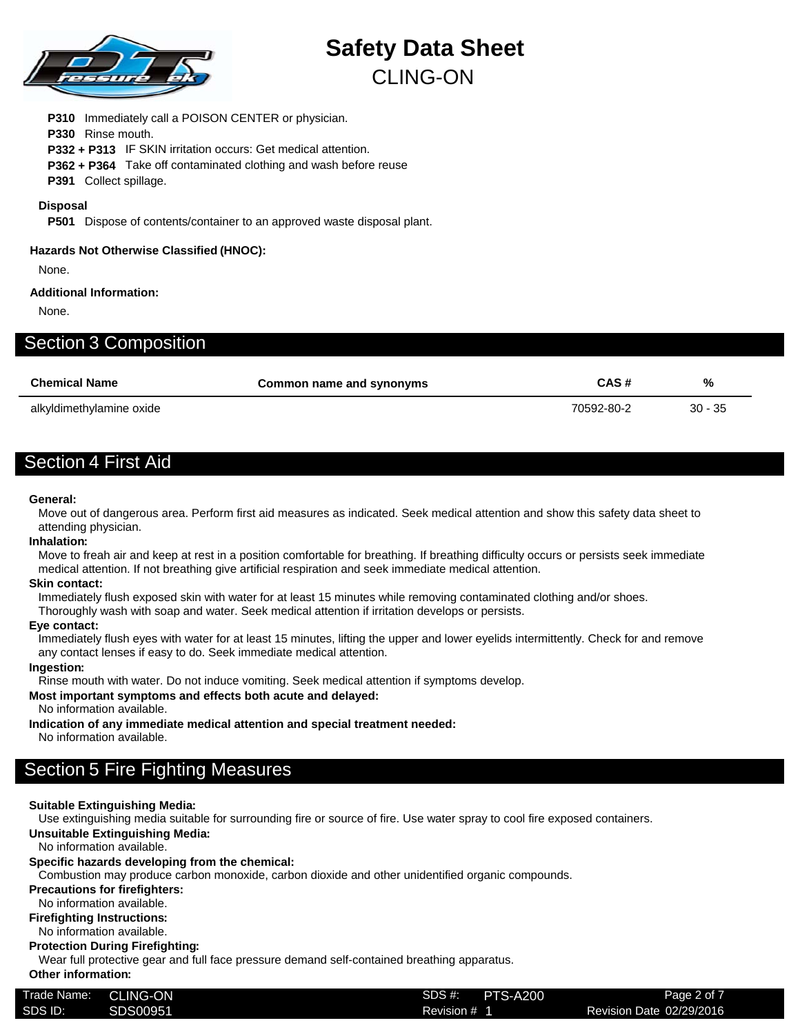

**P310** Immediately call a POISON CENTER or physician. **P330** Rinse mouth. **P332 + P313** IF SKIN irritation occurs: Get medical attention. **P362 + P364** Take off contaminated clothing and wash before reuse

**P391** Collect spillage.

#### **Disposal**

**P501** Dispose of contents/container to an approved waste disposal plant.

#### **Hazards Not Otherwise Classified (HNOC):**

None.

#### **Additional Information:**

None.

| <b>Section 3 Composition</b> |  |
|------------------------------|--|
|                              |  |

| <b>Chemical Name</b>     | Common name and synonyms | CAS#       | %         |
|--------------------------|--------------------------|------------|-----------|
| alkyldimethylamine oxide |                          | 70592-80-2 | $30 - 35$ |

## Section 4 First Aid

#### **General:**

Move out of dangerous area. Perform first aid measures as indicated. Seek medical attention and show this safety data sheet to attending physician.

#### **Inhalation:**

Move to freah air and keep at rest in a position comfortable for breathing. If breathing difficulty occurs or persists seek immediate medical attention. If not breathing give artificial respiration and seek immediate medical attention.

#### **Skin contact:**

Immediately flush exposed skin with water for at least 15 minutes while removing contaminated clothing and/or shoes.

Thoroughly wash with soap and water. Seek medical attention if irritation develops or persists.

#### **Eye contact:**

Immediately flush eyes with water for at least 15 minutes, lifting the upper and lower eyelids intermittently. Check for and remove any contact lenses if easy to do. Seek immediate medical attention.

#### **Ingestion:**

Rinse mouth with water. Do not induce vomiting. Seek medical attention if symptoms develop.

#### **Most important symptoms and effects both acute and delayed:**

No information available.

**Indication of any immediate medical attention and special treatment needed:**

No information available.

## Section 5 Fire Fighting Measures

#### **Suitable Extinguishing Media:**

Use extinguishing media suitable for surrounding fire or source of fire. Use water spray to cool fire exposed containers.

**Unsuitable Extinguishing Media:**

No information available.

#### **Specific hazards developing from the chemical:**

Combustion may produce carbon monoxide, carbon dioxide and other unidentified organic compounds.

#### **Precautions for firefighters:**

No information available.

#### **Firefighting Instructions:**

No information available.

#### **Protection During Firefighting:**

Wear full protective gear and full face pressure demand self-contained breathing apparatus.

### **Other information:**

| Trade Name: | LING-ON  | SDS #:<br><b>PTS-A200</b> | Page 2 of 7              |
|-------------|----------|---------------------------|--------------------------|
| SDS ID:     | SDS00951 | Revision #                | Revision Date 02/29/2016 |
|             |          |                           |                          |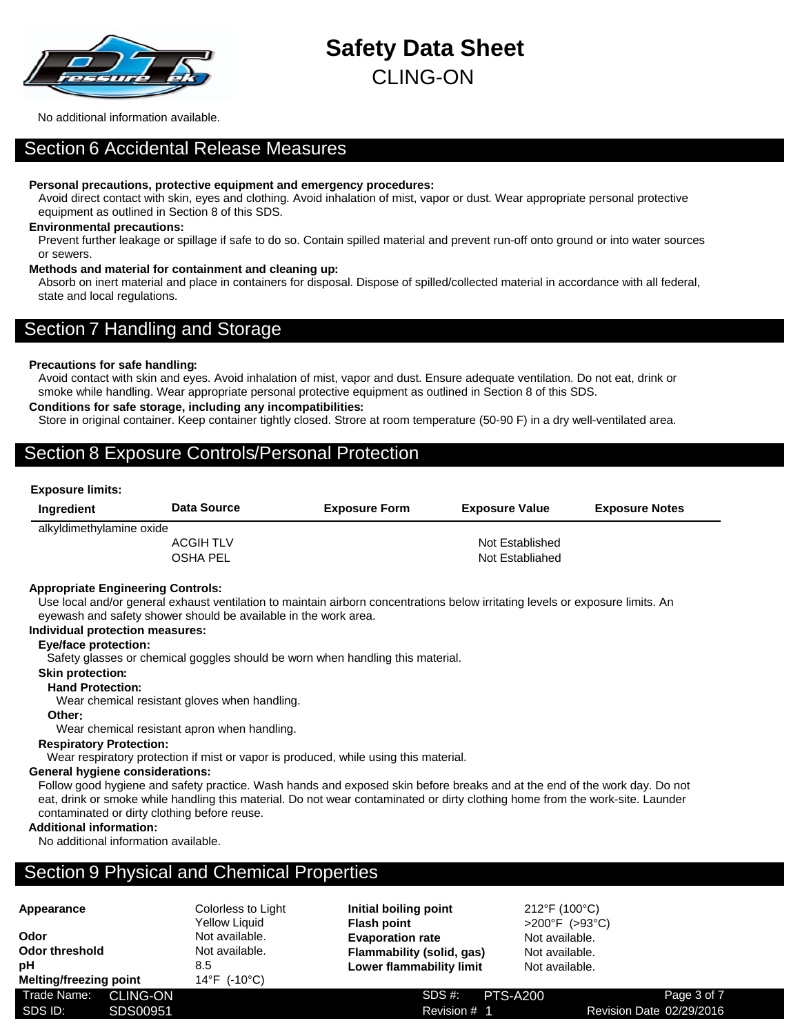

No additional information available.

### Section 6 Accidental Release Measures

#### **Personal precautions, protective equipment and emergency procedures:**

Avoid direct contact with skin, eyes and clothing. Avoid inhalation of mist, vapor or dust. Wear appropriate personal protective equipment as outlined in Section 8 of this SDS.

#### **Environmental precautions:**

Prevent further leakage or spillage if safe to do so. Contain spilled material and prevent run-off onto ground or into water sources or sewers.

#### **Methods and material for containment and cleaning up:**

Absorb on inert material and place in containers for disposal. Dispose of spilled/collected material in accordance with all federal, state and local regulations.

## Section 7 Handling and Storage

#### **Precautions for safe handling:**

Avoid contact with skin and eyes. Avoid inhalation of mist, vapor and dust. Ensure adequate ventilation. Do not eat, drink or smoke while handling. Wear appropriate personal protective equipment as outlined in Section 8 of this SDS.

#### **Conditions for safe storage, including any incompatibilities:**

Store in original container. Keep container tightly closed. Strore at room temperature (50-90 F) in a dry well-ventilated area.

## Section 8 Exposure Controls/Personal Protection

#### **Exposure limits:**

| Ingredient               | <b>Data Source</b> | <b>Exposure Form</b> | <b>Exposure Value</b> | <b>Exposure Notes</b> |
|--------------------------|--------------------|----------------------|-----------------------|-----------------------|
| alkyldimethylamine oxide |                    |                      |                       |                       |
|                          | <b>ACGIH TLV</b>   |                      | Not Established       |                       |
|                          | <b>OSHA PEL</b>    |                      | Not Establiahed       |                       |

#### **Appropriate Engineering Controls:**

Use local and/or general exhaust ventilation to maintain airborn concentrations below irritating levels or exposure limits. An eyewash and safety shower should be available in the work area.

#### **Individual protection measures:**

#### **Eye/face protection:**

Safety glasses or chemical goggles should be worn when handling this material.

#### **Skin protection:**

**Hand Protection:**

Wear chemical resistant gloves when handling.

#### **Other:**

Wear chemical resistant apron when handling.

#### **Respiratory Protection:**

Wear respiratory protection if mist or vapor is produced, while using this material.

#### **General hygiene considerations:**

Follow good hygiene and safety practice. Wash hands and exposed skin before breaks and at the end of the work day. Do not eat, drink or smoke while handling this material. Do not wear contaminated or dirty clothing home from the work-site. Launder contaminated or dirty clothing before reuse.

#### **Additional information:**

No additional information available.

### Section 9 Physical and Chemical Properties

| TPPVULATIVV<br>Odor<br><b>Odor threshold</b> |          | $\sim$<br><b>Yellow Liquid</b><br>Not available.<br>Not available. | <b>Flash point</b><br><b>Evaporation rate</b> |
|----------------------------------------------|----------|--------------------------------------------------------------------|-----------------------------------------------|
| рH<br>Melting/freezing point                 |          | 8.5<br>14°F (-10°C)                                                | Flammability (solid,<br>Lower flammability    |
| Trade Name: CLING-ON<br>SDS ID:              | SDS00951 |                                                                    | SDS#<br>Revisio                               |
|                                              |          |                                                                    |                                               |

**Appearance** Colorless to Light Yellow Liquid Not available. Not available. **Melting/freezing point** 14°F (-10°C)

**Initial boiling point** 212°F (100°C) **Flash point** >200°F (>93°C) **Evaporation rate** Not available. **Flammability (solid, gas)** Not available. **Lower flammability limit** Not available.

Revision # 1 SDS #: PTS-A200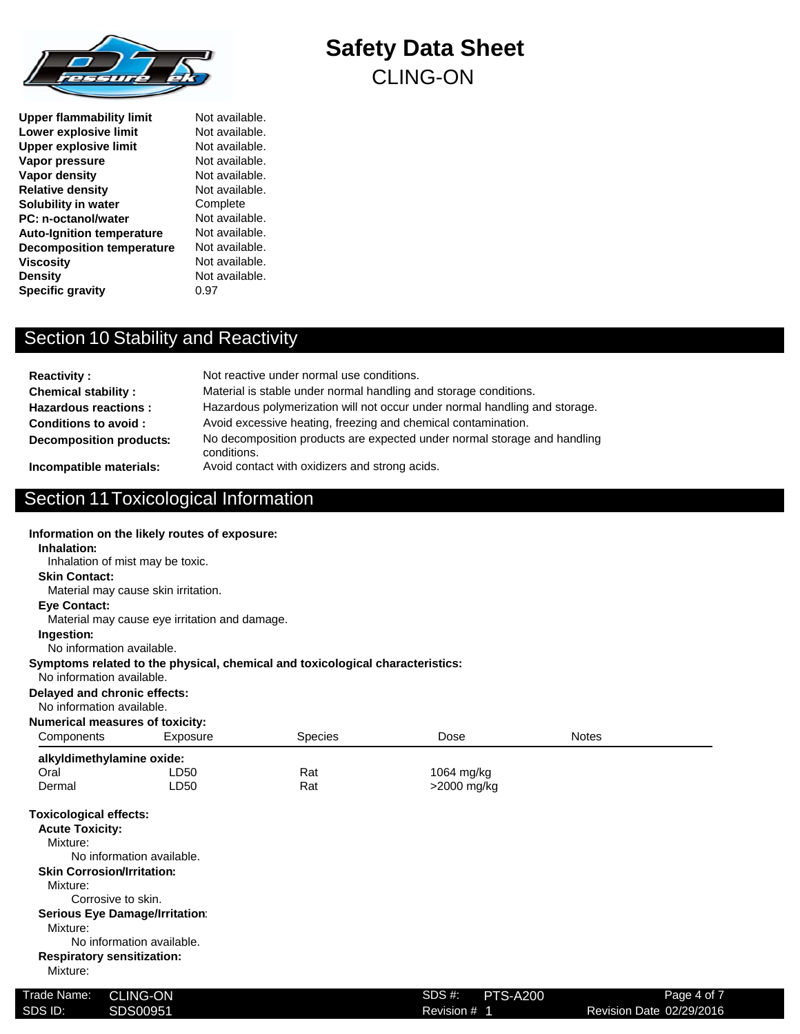

**Upper flammability limit** Not available. **Lower explosive limit** Not available. **Upper explosive limit** Not available.<br> **Vapor pressure** Not available. **Vapor pressure Vapor density** Not available. **Relative density** Not available. **Solubility in water** Complete<br> **PC:** n-octanol/water Mot available. **PC: n-octanol/water** Auto-Ignition temperature Not available. **Decomposition temperature** Not available. **Viscosity** Not available. **Density** Not available. **Specific gravity** 0.97

# Section 10 Stability and Reactivity

| <b>Reactivity:</b><br><b>Chemical stability:</b> | Not reactive under normal use conditions.<br>Material is stable under normal handling and storage conditions. |
|--------------------------------------------------|---------------------------------------------------------------------------------------------------------------|
| <b>Hazardous reactions:</b>                      | Hazardous polymerization will not occur under normal handling and storage.                                    |
| Conditions to avoid:                             | Avoid excessive heating, freezing and chemical contamination.                                                 |
| <b>Decomposition products:</b>                   | No decomposition products are expected under normal storage and handling<br>conditions.                       |
| Incompatible materials:                          | Avoid contact with oxidizers and strong acids.                                                                |

**Safety Data Sheet**

CLING-ON

## Section 11Toxicological Information

**Information on the likely routes of exposure:**

| Inhalation:                                               | information on the likely routes of exposure: |                                                                               |                             |              |  |
|-----------------------------------------------------------|-----------------------------------------------|-------------------------------------------------------------------------------|-----------------------------|--------------|--|
| Inhalation of mist may be toxic.                          |                                               |                                                                               |                             |              |  |
| <b>Skin Contact:</b>                                      |                                               |                                                                               |                             |              |  |
|                                                           | Material may cause skin irritation.           |                                                                               |                             |              |  |
| <b>Eve Contact:</b>                                       |                                               |                                                                               |                             |              |  |
|                                                           | Material may cause eye irritation and damage. |                                                                               |                             |              |  |
| Ingestion:                                                |                                               |                                                                               |                             |              |  |
| No information available.                                 |                                               |                                                                               |                             |              |  |
| No information available.                                 |                                               | Symptoms related to the physical, chemical and toxicological characteristics: |                             |              |  |
| Delayed and chronic effects:<br>No information available. |                                               |                                                                               |                             |              |  |
| <b>Numerical measures of toxicity:</b>                    |                                               |                                                                               |                             |              |  |
| Components                                                | Exposure                                      | <b>Species</b>                                                                | Dose                        | <b>Notes</b> |  |
| alkyldimethylamine oxide:                                 |                                               |                                                                               |                             |              |  |
| Oral                                                      | LD50                                          | Rat                                                                           | 1064 mg/kg                  |              |  |
| Dermal                                                    | LD50                                          | Rat                                                                           | >2000 mg/kg                 |              |  |
| <b>Toxicological effects:</b>                             |                                               |                                                                               |                             |              |  |
| <b>Acute Toxicity:</b>                                    |                                               |                                                                               |                             |              |  |
| Mixture:                                                  |                                               |                                                                               |                             |              |  |
|                                                           | No information available.                     |                                                                               |                             |              |  |
| <b>Skin Corrosion/Irritation:</b>                         |                                               |                                                                               |                             |              |  |
| Mixture:                                                  |                                               |                                                                               |                             |              |  |
| Corrosive to skin.                                        |                                               |                                                                               |                             |              |  |
| <b>Serious Eye Damage/Irritation:</b>                     |                                               |                                                                               |                             |              |  |
| Mixture:                                                  |                                               |                                                                               |                             |              |  |
|                                                           | No information available.                     |                                                                               |                             |              |  |
| <b>Respiratory sensitization:</b><br>Mixture:             |                                               |                                                                               |                             |              |  |
| Trade Name:                                               | <b>CLING-ON</b>                               |                                                                               | $SDS#$ :<br><b>PTS-A200</b> | Page 4 of 7  |  |

Revision # 1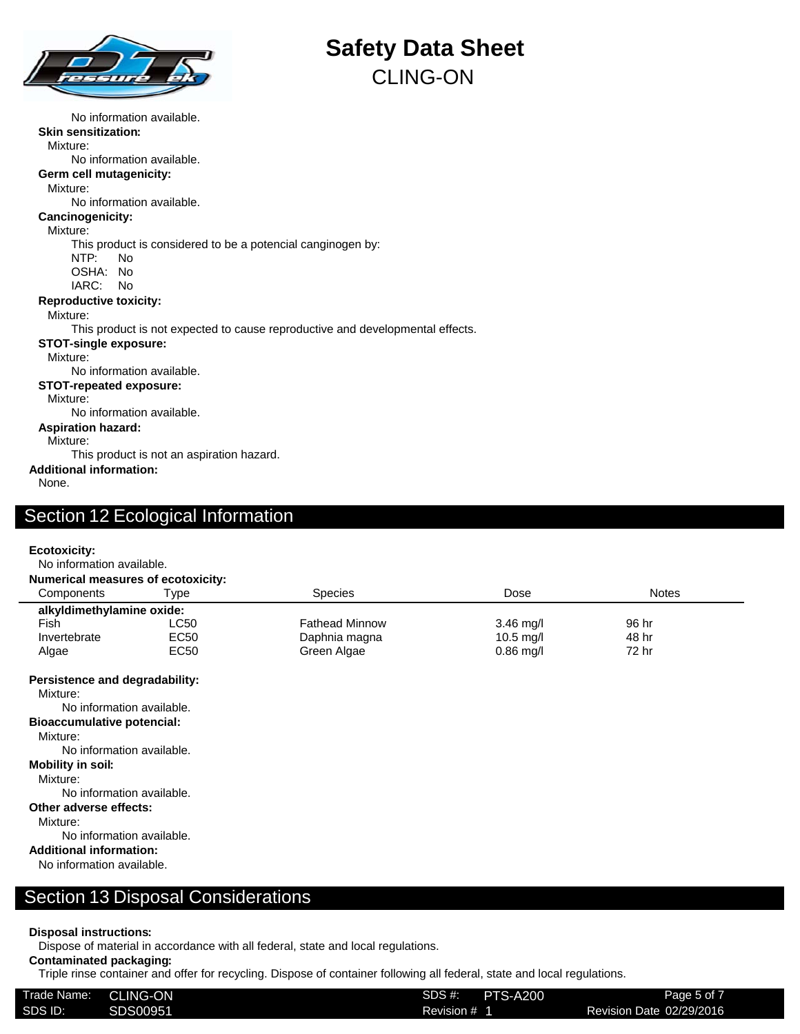

No information available. **Skin sensitization:** Mixture: No information available. **Germ cell mutagenicity:** Mixture: No information available. **Cancinogenicity:** Mixture: This product is considered to be a potencial canginogen by: NTP: No OSHA: No IARC: No **Reproductive toxicity:** Mixture: This product is not expected to cause reproductive and developmental effects. **STOT-single exposure:** Mixture: No information available. **STOT-repeated exposure:** Mixture: No information available. **Aspiration hazard:** Mixture: This product is not an aspiration hazard. **Additional information:**

None.

### Section 12 Ecological Information

#### **Ecotoxicity:**

No information available.

| <b>Numerical measures of ecotoxicity:</b>  |                  |                       |             |              |  |
|--------------------------------------------|------------------|-----------------------|-------------|--------------|--|
| Components                                 | ⊺vpe             | <b>Species</b>        | Dose        | <b>Notes</b> |  |
| alkyldimethylamine oxide:                  |                  |                       |             |              |  |
| Fish                                       | LC50             | <b>Fathead Minnow</b> | $3.46$ mg/l | 96 hr        |  |
| Invertebrate                               | EC <sub>50</sub> | Daphnia magna         | $10.5$ mg/l | 48 hr        |  |
| Algae                                      | EC50             | Green Algae           | $0.86$ mg/l | 72 hr        |  |
| Persistence and degradability:<br>Mixture: |                  |                       |             |              |  |
| No information ovailable                   |                  |                       |             |              |  |

No information available. **Bioaccumulative potencial:**

Mixture:

No information available.

#### **Mobility in soil:**

Mixture:

No information available. **Other adverse effects:**

Mixture:

No information available.

### **Additional information:**

No information available.

### Section 13 Disposal Considerations

#### **Disposal instructions:**

Dispose of material in accordance with all federal, state and local regulations.

### **Contaminated packaging:**

Triple rinse container and offer for recycling. Dispose of container following all federal, state and local regulations.

| Trade Name: | <b>CLING-ON</b> | SDS #:     | <b>PTS-A200</b> | Page 5 of 7              |
|-------------|-----------------|------------|-----------------|--------------------------|
| SDS ID:     | SDS00951        | Revision # |                 | Revision Date 02/29/2016 |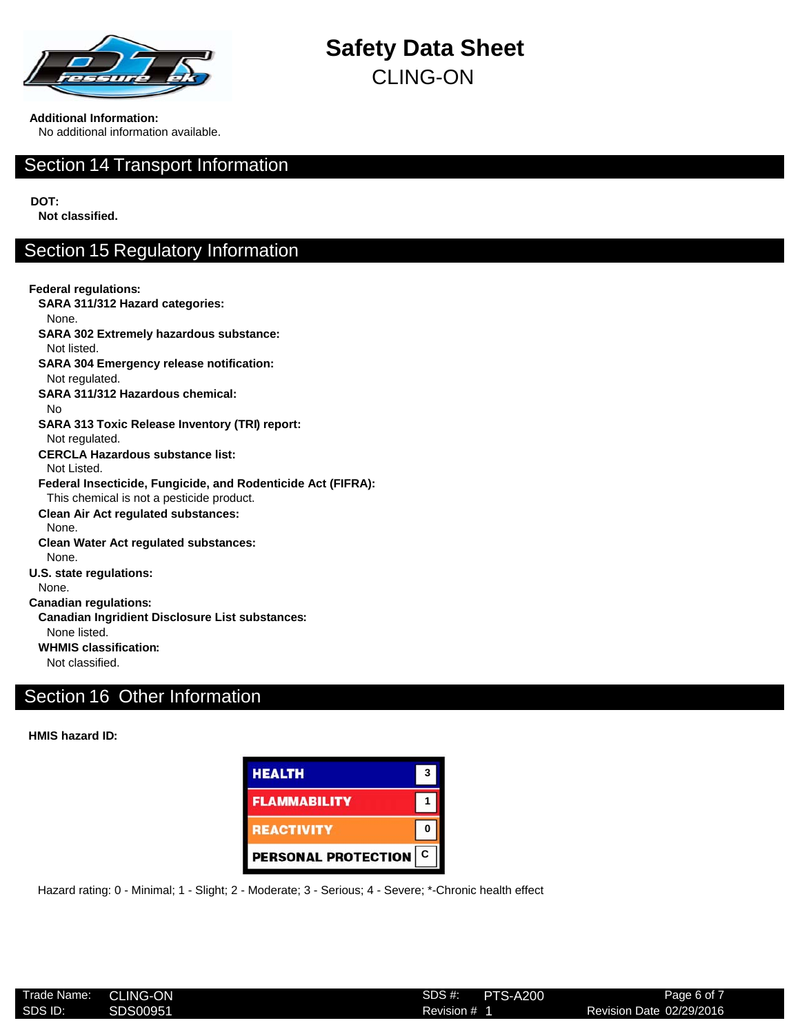

**Additional Information:**

No additional information available.

## Section 14 Transport Information

**DOT:**

**Not classified.**

## Section 15 Regulatory Information

**Federal regulations: SARA 311/312 Hazard categories:** None. **SARA 302 Extremely hazardous substance:** Not listed. **SARA 304 Emergency release notification:** Not regulated. **SARA 311/312 Hazardous chemical:** No **SARA 313 Toxic Release Inventory (TRI) report:** Not regulated. **CERCLA Hazardous substance list:** Not Listed. **Federal Insecticide, Fungicide, and Rodenticide Act (FIFRA):** This chemical is not a pesticide product. **Clean Air Act regulated substances:** None. **Clean Water Act regulated substances:** None. **U.S. state regulations:** None. **Canadian regulations: Canadian Ingridient Disclosure List substances:** None listed. **WHMIS classification:** Not classified.

## Section 16 Other Information

**HMIS hazard ID:**



Hazard rating: 0 - Minimal; 1 - Slight; 2 - Moderate; 3 - Serious; 4 - Severe; \*-Chronic health effect

| Trade Name: | <b>CLING-ON</b> | SDS#    |
|-------------|-----------------|---------|
| SDS ID:     | SDS00951        | Revisio |